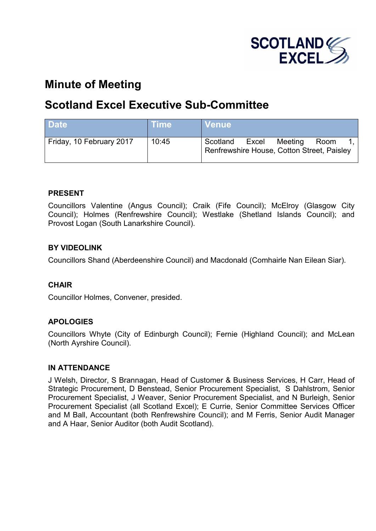

# **Minute of Meeting**

# **Scotland Excel Executive Sub-Committee**

| <b>Date</b>              | <b>Time</b> | <b>Venue</b>                                                                       |
|--------------------------|-------------|------------------------------------------------------------------------------------|
| Friday, 10 February 2017 | 10:45       | Scotland<br>Meeting<br>Excel<br>Room<br>Renfrewshire House, Cotton Street, Paisley |

## **PRESENT**

Councillors Valentine (Angus Council); Craik (Fife Council); McElroy (Glasgow City Council); Holmes (Renfrewshire Council); Westlake (Shetland Islands Council); and Provost Logan (South Lanarkshire Council).

## **BY VIDEOLINK**

Councillors Shand (Aberdeenshire Council) and Macdonald (Comhairle Nan Eilean Siar).

## **CHAIR**

Councillor Holmes, Convener, presided.

## **APOLOGIES**

Councillors Whyte (City of Edinburgh Council); Fernie (Highland Council); and McLean (North Ayrshire Council).

## **IN ATTENDANCE**

J Welsh, Director, S Brannagan, Head of Customer & Business Services, H Carr, Head of Strategic Procurement, D Benstead, Senior Procurement Specialist, S Dahlstrom, Senior Procurement Specialist, J Weaver, Senior Procurement Specialist, and N Burleigh, Senior Procurement Specialist (all Scotland Excel); E Currie, Senior Committee Services Officer and M Ball, Accountant (both Renfrewshire Council); and M Ferris, Senior Audit Manager and A Haar, Senior Auditor (both Audit Scotland).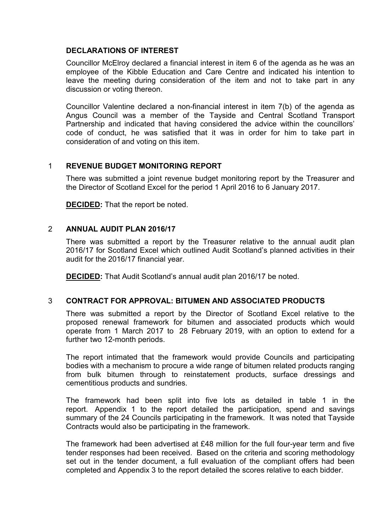## **DECLARATIONS OF INTEREST**

Councillor McElroy declared a financial interest in item 6 of the agenda as he was an employee of the Kibble Education and Care Centre and indicated his intention to leave the meeting during consideration of the item and not to take part in any discussion or voting thereon.

Councillor Valentine declared a non-financial interest in item 7(b) of the agenda as Angus Council was a member of the Tayside and Central Scotland Transport Partnership and indicated that having considered the advice within the councillors' code of conduct, he was satisfied that it was in order for him to take part in consideration of and voting on this item.

### 1 **REVENUE BUDGET MONITORING REPORT**

There was submitted a joint revenue budget monitoring report by the Treasurer and the Director of Scotland Excel for the period 1 April 2016 to 6 January 2017.

**DECIDED:** That the report be noted.

### 2 **ANNUAL AUDIT PLAN 2016/17**

There was submitted a report by the Treasurer relative to the annual audit plan 2016/17 for Scotland Excel which outlined Audit Scotland's planned activities in their audit for the 2016/17 financial year.

**DECIDED:** That Audit Scotland's annual audit plan 2016/17 be noted.

## 3 **CONTRACT FOR APPROVAL: BITUMEN AND ASSOCIATED PRODUCTS**

There was submitted a report by the Director of Scotland Excel relative to the proposed renewal framework for bitumen and associated products which would operate from 1 March 2017 to 28 February 2019, with an option to extend for a further two 12-month periods.

The report intimated that the framework would provide Councils and participating bodies with a mechanism to procure a wide range of bitumen related products ranging from bulk bitumen through to reinstatement products, surface dressings and cementitious products and sundries.

The framework had been split into five lots as detailed in table 1 in the report. Appendix 1 to the report detailed the participation, spend and savings summary of the 24 Councils participating in the framework. It was noted that Tayside Contracts would also be participating in the framework.

The framework had been advertised at £48 million for the full four-year term and five tender responses had been received. Based on the criteria and scoring methodology set out in the tender document, a full evaluation of the compliant offers had been completed and Appendix 3 to the report detailed the scores relative to each bidder.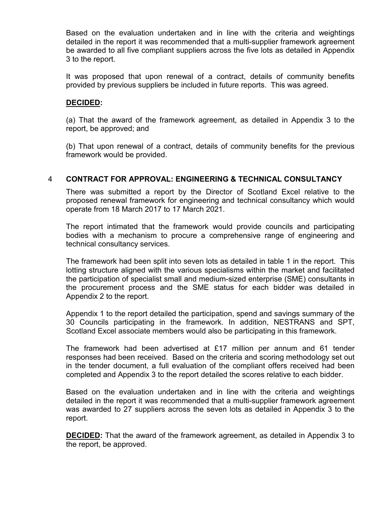Based on the evaluation undertaken and in line with the criteria and weightings detailed in the report it was recommended that a multi-supplier framework agreement be awarded to all five compliant suppliers across the five lots as detailed in Appendix 3 to the report.

It was proposed that upon renewal of a contract, details of community benefits provided by previous suppliers be included in future reports. This was agreed.

### **DECIDED:**

(a) That the award of the framework agreement, as detailed in Appendix 3 to the report, be approved; and

(b) That upon renewal of a contract, details of community benefits for the previous framework would be provided.

#### 4 **CONTRACT FOR APPROVAL: ENGINEERING & TECHNICAL CONSULTANCY**

There was submitted a report by the Director of Scotland Excel relative to the proposed renewal framework for engineering and technical consultancy which would operate from 18 March 2017 to 17 March 2021.

The report intimated that the framework would provide councils and participating bodies with a mechanism to procure a comprehensive range of engineering and technical consultancy services.

The framework had been split into seven lots as detailed in table 1 in the report. This lotting structure aligned with the various specialisms within the market and facilitated the participation of specialist small and medium-sized enterprise (SME) consultants in the procurement process and the SME status for each bidder was detailed in Appendix 2 to the report.

Appendix 1 to the report detailed the participation, spend and savings summary of the 30 Councils participating in the framework. In addition, NESTRANS and SPT, Scotland Excel associate members would also be participating in this framework.

The framework had been advertised at £17 million per annum and 61 tender responses had been received. Based on the criteria and scoring methodology set out in the tender document, a full evaluation of the compliant offers received had been completed and Appendix 3 to the report detailed the scores relative to each bidder.

Based on the evaluation undertaken and in line with the criteria and weightings detailed in the report it was recommended that a multi-supplier framework agreement was awarded to 27 suppliers across the seven lots as detailed in Appendix 3 to the report.

**DECIDED:** That the award of the framework agreement, as detailed in Appendix 3 to the report, be approved.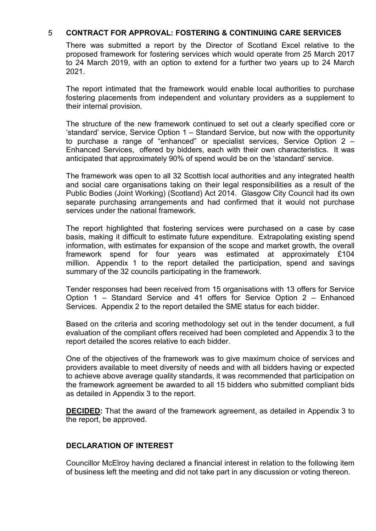## 5 **CONTRACT FOR APPROVAL: FOSTERING & CONTINUING CARE SERVICES**

There was submitted a report by the Director of Scotland Excel relative to the proposed framework for fostering services which would operate from 25 March 2017 to 24 March 2019, with an option to extend for a further two years up to 24 March 2021.

The report intimated that the framework would enable local authorities to purchase fostering placements from independent and voluntary providers as a supplement to their internal provision.

The structure of the new framework continued to set out a clearly specified core or 'standard' service, Service Option 1 – Standard Service, but now with the opportunity to purchase a range of "enhanced" or specialist services, Service Option 2 – Enhanced Services, offered by bidders, each with their own characteristics. It was anticipated that approximately 90% of spend would be on the 'standard' service.

The framework was open to all 32 Scottish local authorities and any integrated health and social care organisations taking on their legal responsibilities as a result of the Public Bodies (Joint Working) (Scotland) Act 2014. Glasgow City Council had its own separate purchasing arrangements and had confirmed that it would not purchase services under the national framework.

The report highlighted that fostering services were purchased on a case by case basis, making it difficult to estimate future expenditure. Extrapolating existing spend information, with estimates for expansion of the scope and market growth, the overall framework spend for four years was estimated at approximately £104 million. Appendix 1 to the report detailed the participation, spend and savings summary of the 32 councils participating in the framework.

Tender responses had been received from 15 organisations with 13 offers for Service Option 1 – Standard Service and 41 offers for Service Option 2 – Enhanced Services. Appendix 2 to the report detailed the SME status for each bidder.

Based on the criteria and scoring methodology set out in the tender document, a full evaluation of the compliant offers received had been completed and Appendix 3 to the report detailed the scores relative to each bidder.

One of the objectives of the framework was to give maximum choice of services and providers available to meet diversity of needs and with all bidders having or expected to achieve above average quality standards, it was recommended that participation on the framework agreement be awarded to all 15 bidders who submitted compliant bids as detailed in Appendix 3 to the report.

**DECIDED:** That the award of the framework agreement, as detailed in Appendix 3 to the report, be approved.

## **DECLARATION OF INTEREST**

Councillor McElroy having declared a financial interest in relation to the following item of business left the meeting and did not take part in any discussion or voting thereon.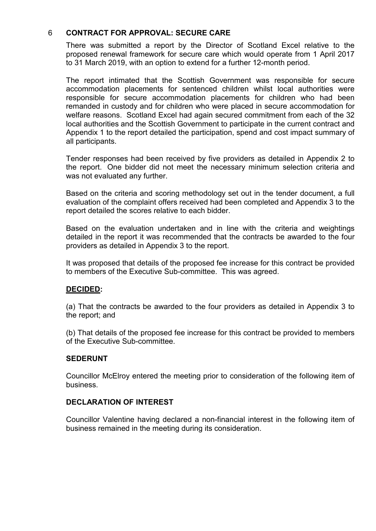## 6 **CONTRACT FOR APPROVAL: SECURE CARE**

There was submitted a report by the Director of Scotland Excel relative to the proposed renewal framework for secure care which would operate from 1 April 2017 to 31 March 2019, with an option to extend for a further 12-month period.

The report intimated that the Scottish Government was responsible for secure accommodation placements for sentenced children whilst local authorities were responsible for secure accommodation placements for children who had been remanded in custody and for children who were placed in secure accommodation for welfare reasons. Scotland Excel had again secured commitment from each of the 32 local authorities and the Scottish Government to participate in the current contract and Appendix 1 to the report detailed the participation, spend and cost impact summary of all participants.

Tender responses had been received by five providers as detailed in Appendix 2 to the report. One bidder did not meet the necessary minimum selection criteria and was not evaluated any further.

Based on the criteria and scoring methodology set out in the tender document, a full evaluation of the complaint offers received had been completed and Appendix 3 to the report detailed the scores relative to each bidder.

Based on the evaluation undertaken and in line with the criteria and weightings detailed in the report it was recommended that the contracts be awarded to the four providers as detailed in Appendix 3 to the report.

It was proposed that details of the proposed fee increase for this contract be provided to members of the Executive Sub-committee. This was agreed.

## **DECIDED:**

(a) That the contracts be awarded to the four providers as detailed in Appendix 3 to the report; and

(b) That details of the proposed fee increase for this contract be provided to members of the Executive Sub-committee.

## **SEDERUNT**

Councillor McElroy entered the meeting prior to consideration of the following item of business.

## **DECLARATION OF INTEREST**

Councillor Valentine having declared a non-financial interest in the following item of business remained in the meeting during its consideration.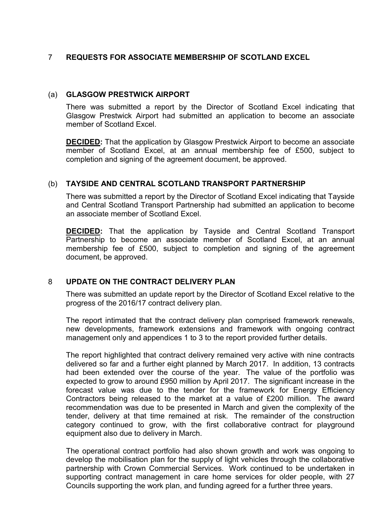## 7 **REQUESTS FOR ASSOCIATE MEMBERSHIP OF SCOTLAND EXCEL**

## (a) **GLASGOW PRESTWICK AIRPORT**

There was submitted a report by the Director of Scotland Excel indicating that Glasgow Prestwick Airport had submitted an application to become an associate member of Scotland Excel.

**DECIDED:** That the application by Glasgow Prestwick Airport to become an associate member of Scotland Excel, at an annual membership fee of £500, subject to completion and signing of the agreement document, be approved.

## (b) **TAYSIDE AND CENTRAL SCOTLAND TRANSPORT PARTNERSHIP**

There was submitted a report by the Director of Scotland Excel indicating that Tayside and Central Scotland Transport Partnership had submitted an application to become an associate member of Scotland Excel.

**DECIDED:** That the application by Tayside and Central Scotland Transport Partnership to become an associate member of Scotland Excel, at an annual membership fee of £500, subject to completion and signing of the agreement document, be approved.

## 8 **UPDATE ON THE CONTRACT DELIVERY PLAN**

There was submitted an update report by the Director of Scotland Excel relative to the progress of the 2016/17 contract delivery plan.

The report intimated that the contract delivery plan comprised framework renewals, new developments, framework extensions and framework with ongoing contract management only and appendices 1 to 3 to the report provided further details.

The report highlighted that contract delivery remained very active with nine contracts delivered so far and a further eight planned by March 2017. In addition, 13 contracts had been extended over the course of the year. The value of the portfolio was expected to grow to around £950 million by April 2017. The significant increase in the forecast value was due to the tender for the framework for Energy Efficiency Contractors being released to the market at a value of £200 million. The award recommendation was due to be presented in March and given the complexity of the tender, delivery at that time remained at risk. The remainder of the construction category continued to grow, with the first collaborative contract for playground equipment also due to delivery in March.

The operational contract portfolio had also shown growth and work was ongoing to develop the mobilisation plan for the supply of light vehicles through the collaborative partnership with Crown Commercial Services. Work continued to be undertaken in supporting contract management in care home services for older people, with 27 Councils supporting the work plan, and funding agreed for a further three years.